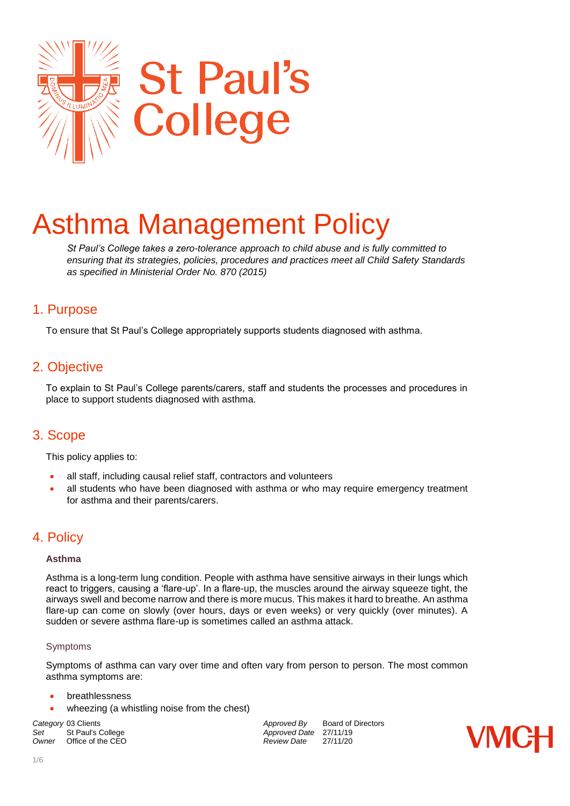

# Asthma Management Policy

*St Paul's College takes a zero-tolerance approach to child abuse and is fully committed to ensuring that its strategies, policies, procedures and practices meet all Child Safety Standards as specified in Ministerial Order No. 870 (2015)* 

### 1. Purpose

To ensure that St Paul's College appropriately supports students diagnosed with asthma.

## 2. Objective

To explain to St Paul's College parents/carers, staff and students the processes and procedures in place to support students diagnosed with asthma.

## 3. Scope

This policy applies to:

- all staff, including causal relief staff, contractors and volunteers
- all students who have been diagnosed with asthma or who may require emergency treatment for asthma and their parents/carers.

## 4. Policy

#### **Asthma**

Asthma is a long-term lung condition. People with asthma have sensitive airways in their lungs which react to triggers, causing a 'flare-up'. In a flare-up, the muscles around the airway squeeze tight, the airways swell and become narrow and there is more mucus. This makes it hard to breathe. An asthma flare-up can come on slowly (over hours, days or even weeks) or very quickly (over minutes). A sudden or severe asthma flare-up is sometimes called an asthma attack.

#### Symptoms

Symptoms of asthma can vary over time and often vary from person to person. The most common asthma symptoms are:

- breathlessness
- wheezing (a whistling noise from the chest)

Set St Paul's College *Set* **Approved Date** 27/11/19<br>
Owner Office of the CEO **Approved Date** 27/11/20 *Office of the CEO* 

**Category** 03 Clients *Category* 03 Clients *Approved By* Board of Directors *Set* St Paul's College **Approved Date 27/11/19** 

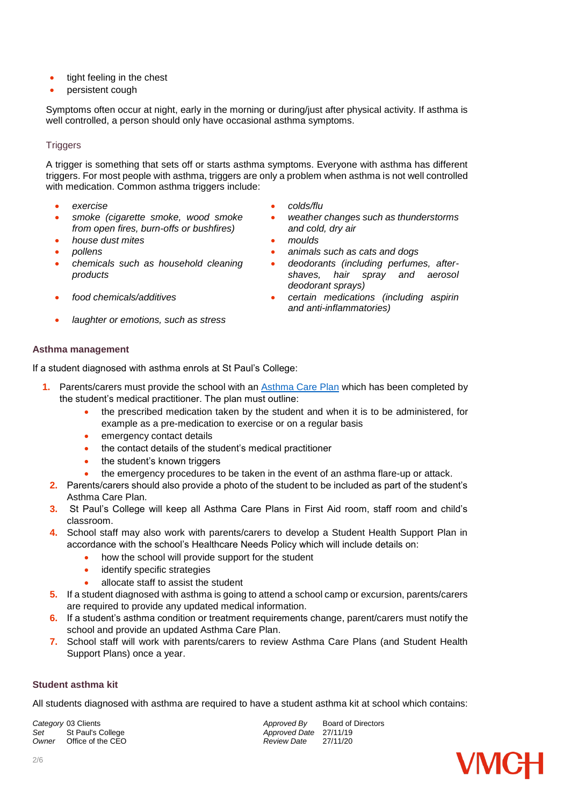- tight feeling in the chest
- persistent cough

Symptoms often occur at night, early in the morning or during/just after physical activity. If asthma is well controlled, a person should only have occasional asthma symptoms.

#### **Triggers**

A trigger is something that sets off or starts asthma symptoms. Everyone with asthma has different triggers. For most people with asthma, triggers are only a problem when asthma is not well controlled with medication. Common asthma triggers include:

- 
- *smoke (cigarette smoke, wood smoke from open fires, burn-offs or bushfires)*
- *house dust mites moulds*
- 
- *chemicals such as household cleaning products*
- 
- *laughter or emotions, such as stress*
- *exercise colds/flu*
	- *weather changes such as thunderstorms and cold, dry air*
	-
- *pollens animals such as cats and dogs*
	- *deodorants (including perfumes, aftershaves, hair spray and aerosol deodorant sprays)*
- *food chemicals/additives certain medications (including aspirin and anti-inflammatories)*

#### **Asthma management**

If a student diagnosed with asthma enrols at St Paul's College:

- **1.** Parents/carers must provide the school with an [Asthma Care Plan](http://www.education.vic.gov.au/school/principals/spag/health/Documents/AsthmaCarePlan.pdf) which has been completed by the student's medical practitioner. The plan must outline:
	- the prescribed medication taken by the student and when it is to be administered, for example as a pre-medication to exercise or on a regular basis
	- emergency contact details
	- the contact details of the student's medical practitioner
	- the student's known triggers
	- the emergency procedures to be taken in the event of an asthma flare-up or attack.
	- **2.** Parents/carers should also provide a photo of the student to be included as part of the student's Asthma Care Plan.
	- **3.** St Paul's College will keep all Asthma Care Plans in First Aid room, staff room and child's classroom.
	- **4.** School staff may also work with parents/carers to develop a Student Health Support Plan in accordance with the school's Healthcare Needs Policy which will include details on:
		- how the school will provide support for the student
		- identify specific strategies
		- allocate staff to assist the student
- **5.** If a student diagnosed with asthma is going to attend a school camp or excursion, parents/carers are required to provide any updated medical information.
- **6.** If a student's asthma condition or treatment requirements change, parent/carers must notify the school and provide an updated Asthma Care Plan.
- **7.** School staff will work with parents/carers to review Asthma Care Plans (and Student Health Support Plans) once a year.

#### **Student asthma kit**

All students diagnosed with asthma are required to have a student asthma kit at school which contains:

Set St Paul's College *Set* Approved Date 27/11/19<br>
Owner Office of the CEO **Approved Date** 27/11/20 *Office of the CEO* 

**Category** 03 Clients *Category* 03 Clients *Approved By* Board of Directors *Set* St Paul's College **Approved Date 27/11/19** 

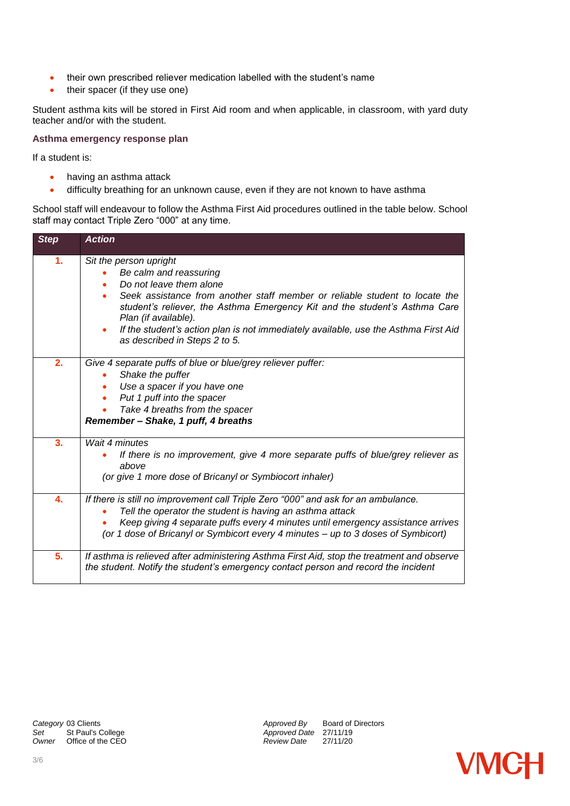- their own prescribed reliever medication labelled with the student's name
- their spacer (if they use one)

Student asthma kits will be stored in First Aid room and when applicable, in classroom, with yard duty teacher and/or with the student.

#### **Asthma emergency response plan**

If a student is:

- having an asthma attack
- difficulty breathing for an unknown cause, even if they are not known to have asthma

School staff will endeavour to follow the Asthma First Aid procedures outlined in the table below. School staff may contact Triple Zero "000" at any time.

| <b>Step</b>      | <b>Action</b>                                                                                                                                                                                                                                                                                                                                                                            |
|------------------|------------------------------------------------------------------------------------------------------------------------------------------------------------------------------------------------------------------------------------------------------------------------------------------------------------------------------------------------------------------------------------------|
| 1.               | Sit the person upright<br>Be calm and reassuring<br>Do not leave them alone<br>Seek assistance from another staff member or reliable student to locate the<br>student's reliever, the Asthma Emergency Kit and the student's Asthma Care<br>Plan (if available).<br>If the student's action plan is not immediately available, use the Asthma First Aid<br>as described in Steps 2 to 5. |
| 2.               | Give 4 separate puffs of blue or blue/grey reliever puffer:<br>Shake the puffer<br>Use a spacer if you have one<br>Put 1 puff into the spacer<br>Take 4 breaths from the spacer<br>Remember - Shake, 1 puff, 4 breaths                                                                                                                                                                   |
| $\overline{3}$ . | Wait 4 minutes<br>If there is no improvement, give 4 more separate puffs of blue/grey reliever as<br>above<br>(or give 1 more dose of Bricanyl or Symbiocort inhaler)                                                                                                                                                                                                                    |
| 4.               | If there is still no improvement call Triple Zero "000" and ask for an ambulance.<br>Tell the operator the student is having an asthma attack<br>Keep giving 4 separate puffs every 4 minutes until emergency assistance arrives<br>(or 1 dose of Bricanyl or Symbicort every 4 minutes - up to 3 doses of Symbicort)                                                                    |
| 5.               | If asthma is relieved after administering Asthma First Aid, stop the treatment and observe<br>the student. Notify the student's emergency contact person and record the incident                                                                                                                                                                                                         |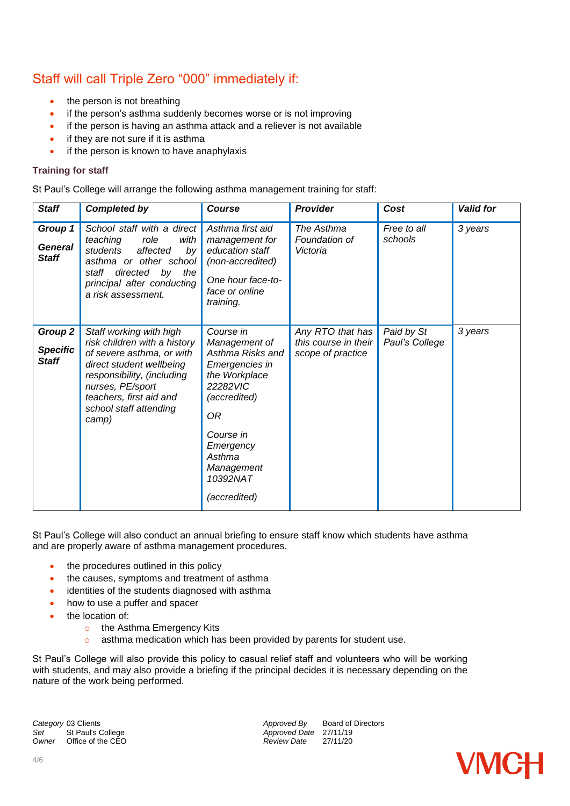# Staff will call Triple Zero "000" immediately if:

- the person is not breathing
- if the person's asthma suddenly becomes worse or is not improving
- if the person is having an asthma attack and a reliever is not available
- if they are not sure if it is asthma
- if the person is known to have anaphylaxis

#### **Training for staff**

St Paul's College will arrange the following asthma management training for staff:

| <b>Staff</b>                               | <b>Completed by</b>                                                                                                                                                                                                              | <b>Course</b>                                                                                                                                                                                     | Provider                                                      | Cost                         | <b>Valid for</b> |
|--------------------------------------------|----------------------------------------------------------------------------------------------------------------------------------------------------------------------------------------------------------------------------------|---------------------------------------------------------------------------------------------------------------------------------------------------------------------------------------------------|---------------------------------------------------------------|------------------------------|------------------|
| Group 1<br><b>General</b><br><b>Staff</b>  | School staff with a direct<br>teaching<br>role<br>with<br>students<br>affected<br>by<br>asthma or other school<br>directed<br>by<br>the<br>staff<br>principal after conducting<br>a risk assessment.                             | Asthma first aid<br>management for<br>education staff<br>(non-accredited)<br>One hour face-to-<br>face or online<br>training.                                                                     | The Asthma<br>Foundation of<br>Victoria                       | Free to all<br>schools       | 3 years          |
| Group 2<br><b>Specific</b><br><b>Staff</b> | Staff working with high<br>risk children with a history<br>of severe asthma, or with<br>direct student wellbeing<br>responsibility, (including<br>nurses, PE/sport<br>teachers, first aid and<br>school staff attending<br>camp) | Course in<br>Management of<br>Asthma Risks and<br>Emergencies in<br>the Workplace<br>22282VIC<br>(accredited)<br>0R<br>Course in<br>Emergency<br>Asthma<br>Management<br>10392NAT<br>(accredited) | Any RTO that has<br>this course in their<br>scope of practice | Paid by St<br>Paul's College | 3 years          |

St Paul's College will also conduct an annual briefing to ensure staff know which students have asthma and are properly aware of asthma management procedures.

- the procedures outlined in this policy
- the causes, symptoms and treatment of asthma
- identities of the students diagnosed with asthma
- how to use a puffer and spacer
- the location of:
	- o the Asthma Emergency Kits
	- o asthma medication which has been provided by parents for student use.

St Paul's College will also provide this policy to casual relief staff and volunteers who will be working with students, and may also provide a briefing if the principal decides it is necessary depending on the nature of the work being performed.

**Category** 03 Clients **Approved By** Board of Directors *Approved By* Board of Directors *Approved Date* 27/11/19 Set St Paul's College *Set* St Paul's College *Approved Date* 27/11/19<br> *Owner* Office of the CEO *Approved Date* 27/11/20 *Owner* Office of the CEO

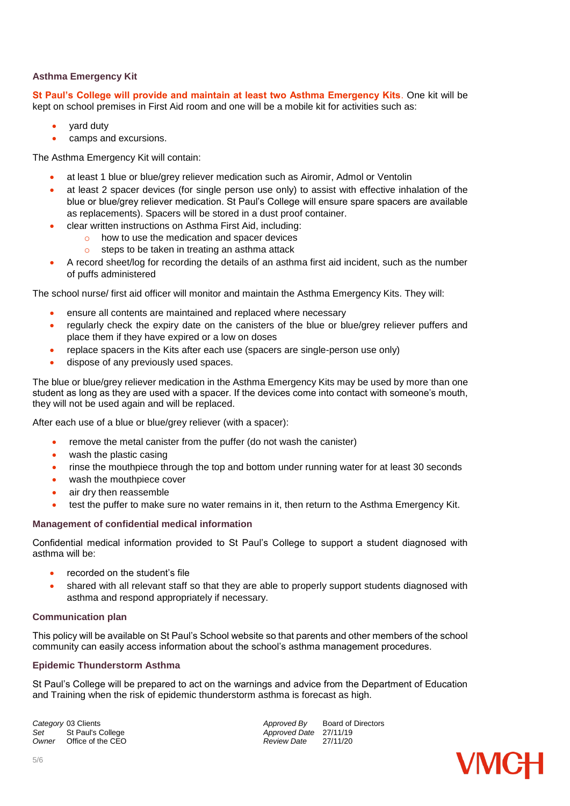#### **Asthma Emergency Kit**

**St Paul's College will provide and maintain at least two Asthma Emergency Kits**. One kit will be kept on school premises in First Aid room and one will be a mobile kit for activities such as:

- yard duty
- camps and excursions.

The Asthma Emergency Kit will contain:

- at least 1 blue or blue/grey reliever medication such as Airomir, Admol or Ventolin
- at least 2 spacer devices (for single person use only) to assist with effective inhalation of the blue or blue/grey reliever medication. St Paul's College will ensure spare spacers are available as replacements). Spacers will be stored in a dust proof container.
- clear written instructions on Asthma First Aid, including:
	- o how to use the medication and spacer devices
	- o steps to be taken in treating an asthma attack
- A record sheet/log for recording the details of an asthma first aid incident, such as the number of puffs administered

The school nurse/ first aid officer will monitor and maintain the Asthma Emergency Kits. They will:

- ensure all contents are maintained and replaced where necessary
- regularly check the expiry date on the canisters of the blue or blue/grey reliever puffers and place them if they have expired or a low on doses
- replace spacers in the Kits after each use (spacers are single-person use only)
- dispose of any previously used spaces.

The blue or blue/grey reliever medication in the Asthma Emergency Kits may be used by more than one student as long as they are used with a spacer. If the devices come into contact with someone's mouth, they will not be used again and will be replaced.

After each use of a blue or blue/grey reliever (with a spacer):

- remove the metal canister from the puffer (do not wash the canister)
- wash the plastic casing
- rinse the mouthpiece through the top and bottom under running water for at least 30 seconds
- wash the mouthpiece cover
- air dry then reassemble
- test the puffer to make sure no water remains in it, then return to the Asthma Emergency Kit.

#### **Management of confidential medical information**

Confidential medical information provided to St Paul's College to support a student diagnosed with asthma will be:

- recorded on the student's file
- shared with all relevant staff so that they are able to properly support students diagnosed with asthma and respond appropriately if necessary.

#### **Communication plan**

This policy will be available on St Paul's School website so that parents and other members of the school community can easily access information about the school's asthma management procedures.

#### **Epidemic Thunderstorm Asthma**

St Paul's College will be prepared to act on the warnings and advice from the Department of Education and Training when the risk of epidemic thunderstorm asthma is forecast as high.

Set St Paul's College *Set* Approved Date 27/11/19<br>
Owner Office of the CEO **Approved Date** 27/11/20 *Office of the CEO* 

**Category** 03 Clients **Approved By** Board of Directors *Approved By* Board of Directors *Approved Date* 27/11/19